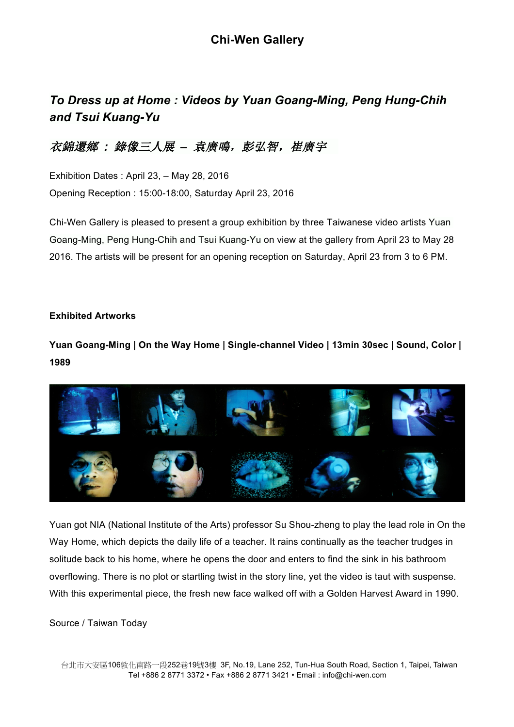# *To Dress up at Home : Videos by Yuan Goang-Ming, Peng Hung-Chih and Tsui Kuang-Yu*

## 衣錦還鄉 *:* 錄像三人展 *–* 袁廣鳴,彭弘智,崔廣宇

Exhibition Dates : April 23, – May 28, 2016 Opening Reception : 15:00-18:00, Saturday April 23, 2016

Chi-Wen Gallery is pleased to present a group exhibition by three Taiwanese video artists Yuan Goang-Ming, Peng Hung-Chih and Tsui Kuang-Yu on view at the gallery from April 23 to May 28 2016. The artists will be present for an opening reception on Saturday, April 23 from 3 to 6 PM.

#### **Exhibited Artworks**

**Yuan Goang-Ming | On the Way Home | Single-channel Video | 13min 30sec | Sound, Color | 1989**



Yuan got NIA (National Institute of the Arts) professor Su Shou-zheng to play the lead role in On the Way Home, which depicts the daily life of a teacher. It rains continually as the teacher trudges in solitude back to his home, where he opens the door and enters to find the sink in his bathroom overflowing. There is no plot or startling twist in the story line, yet the video is taut with suspense. With this experimental piece, the fresh new face walked off with a Golden Harvest Award in 1990.

#### Source / Taiwan Today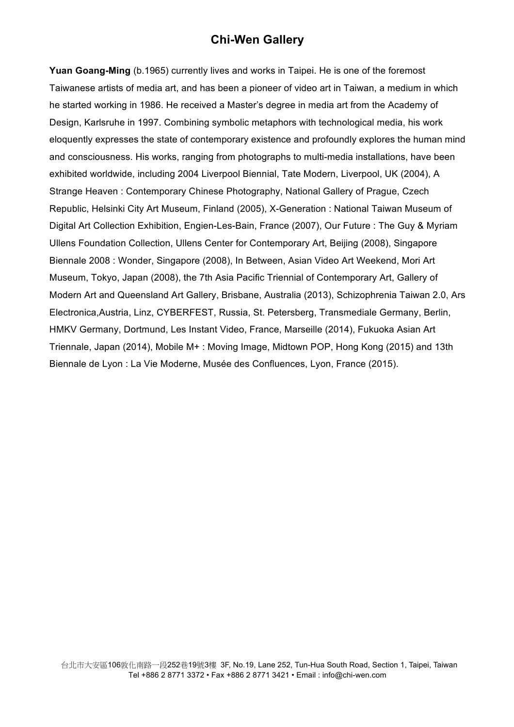**Yuan Goang-Ming** (b.1965) currently lives and works in Taipei. He is one of the foremost Taiwanese artists of media art, and has been a pioneer of video art in Taiwan, a medium in which he started working in 1986. He received a Master's degree in media art from the Academy of Design, Karlsruhe in 1997. Combining symbolic metaphors with technological media, his work eloquently expresses the state of contemporary existence and profoundly explores the human mind and consciousness. His works, ranging from photographs to multi-media installations, have been exhibited worldwide, including 2004 Liverpool Biennial, Tate Modern, Liverpool, UK (2004), A Strange Heaven : Contemporary Chinese Photography, National Gallery of Prague, Czech Republic, Helsinki City Art Museum, Finland (2005), X-Generation : National Taiwan Museum of Digital Art Collection Exhibition, Engien-Les-Bain, France (2007), Our Future : The Guy & Myriam Ullens Foundation Collection, Ullens Center for Contemporary Art, Beijing (2008), Singapore Biennale 2008 : Wonder, Singapore (2008), In Between, Asian Video Art Weekend, Mori Art Museum, Tokyo, Japan (2008), the 7th Asia Pacific Triennial of Contemporary Art, Gallery of Modern Art and Queensland Art Gallery, Brisbane, Australia (2013), Schizophrenia Taiwan 2.0, Ars Electronica,Austria, Linz, CYBERFEST, Russia, St. Petersberg, Transmediale Germany, Berlin, HMKV Germany, Dortmund, Les Instant Video, France, Marseille (2014), Fukuoka Asian Art Triennale, Japan (2014), Mobile M+ : Moving Image, Midtown POP, Hong Kong (2015) and 13th Biennale de Lyon : La Vie Moderne, Musée des Confluences, Lyon, France (2015).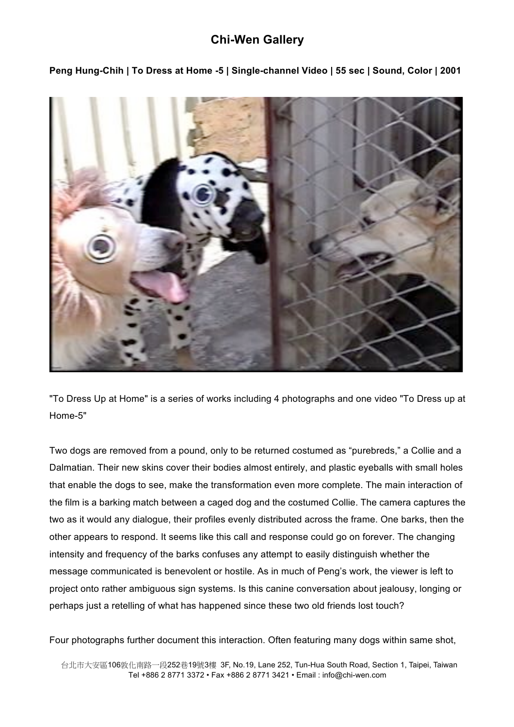

**Peng Hung-Chih | To Dress at Home -5 | Single-channel Video | 55 sec | Sound, Color | 2001**

"To Dress Up at Home" is a series of works including 4 photographs and one video "To Dress up at Home-5"

Two dogs are removed from a pound, only to be returned costumed as "purebreds," a Collie and a Dalmatian. Their new skins cover their bodies almost entirely, and plastic eyeballs with small holes that enable the dogs to see, make the transformation even more complete. The main interaction of the film is a barking match between a caged dog and the costumed Collie. The camera captures the two as it would any dialogue, their profiles evenly distributed across the frame. One barks, then the other appears to respond. It seems like this call and response could go on forever. The changing intensity and frequency of the barks confuses any attempt to easily distinguish whether the message communicated is benevolent or hostile. As in much of Peng's work, the viewer is left to project onto rather ambiguous sign systems. Is this canine conversation about jealousy, longing or perhaps just a retelling of what has happened since these two old friends lost touch?

Four photographs further document this interaction. Often featuring many dogs within same shot,

 台北市大安區106敦化南路一段252巷19號3樓 3F, No.19, Lane 252, Tun-Hua South Road, Section 1, Taipei, Taiwan Tel +886 2 8771 3372 • Fax +886 2 8771 3421 *•* Email : info@chi-wen.com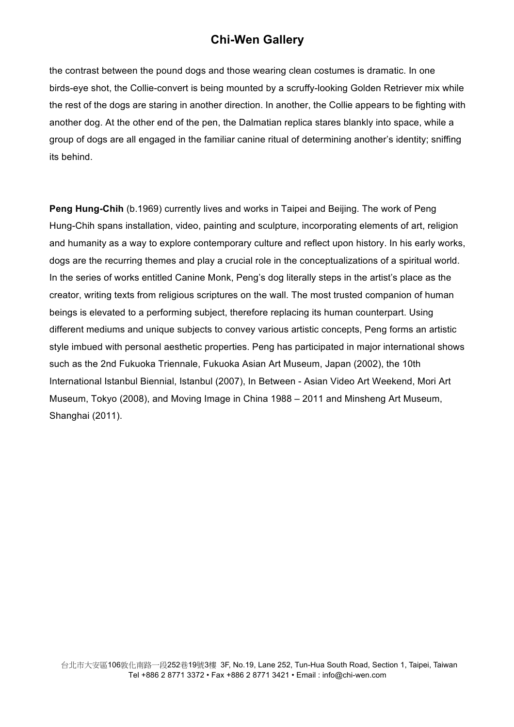the contrast between the pound dogs and those wearing clean costumes is dramatic. In one birds-eye shot, the Collie-convert is being mounted by a scruffy-looking Golden Retriever mix while the rest of the dogs are staring in another direction. In another, the Collie appears to be fighting with another dog. At the other end of the pen, the Dalmatian replica stares blankly into space, while a group of dogs are all engaged in the familiar canine ritual of determining another's identity; sniffing its behind.

**Peng Hung-Chih** (b.1969) currently lives and works in Taipei and Beijing. The work of Peng Hung-Chih spans installation, video, painting and sculpture, incorporating elements of art, religion and humanity as a way to explore contemporary culture and reflect upon history. In his early works, dogs are the recurring themes and play a crucial role in the conceptualizations of a spiritual world. In the series of works entitled Canine Monk, Peng's dog literally steps in the artist's place as the creator, writing texts from religious scriptures on the wall. The most trusted companion of human beings is elevated to a performing subject, therefore replacing its human counterpart. Using different mediums and unique subjects to convey various artistic concepts, Peng forms an artistic style imbued with personal aesthetic properties. Peng has participated in major international shows such as the 2nd Fukuoka Triennale, Fukuoka Asian Art Museum, Japan (2002), the 10th International Istanbul Biennial, Istanbul (2007), In Between - Asian Video Art Weekend, Mori Art Museum, Tokyo (2008), and Moving Image in China 1988 – 2011 and Minsheng Art Museum, Shanghai (2011).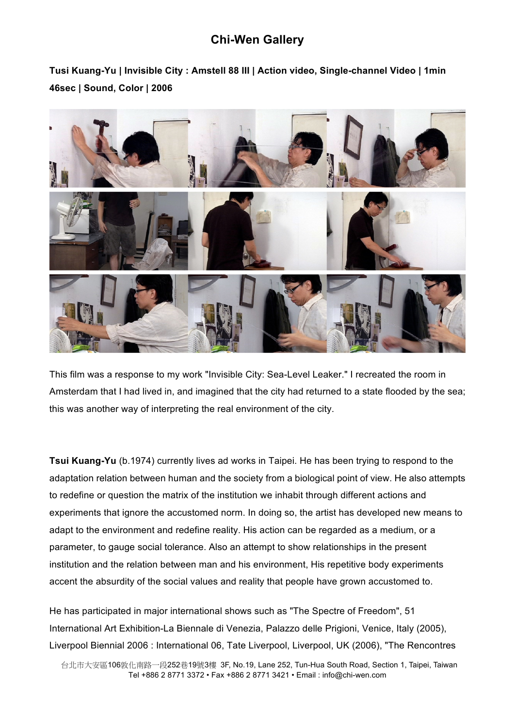**Tusi Kuang-Yu | Invisible City : Amstell 88 III | Action video, Single-channel Video | 1min 46sec | Sound, Color | 2006**



This film was a response to my work "Invisible City: Sea-Level Leaker." I recreated the room in Amsterdam that I had lived in, and imagined that the city had returned to a state flooded by the sea; this was another way of interpreting the real environment of the city.

**Tsui Kuang-Yu** (b.1974) currently lives ad works in Taipei. He has been trying to respond to the adaptation relation between human and the society from a biological point of view. He also attempts to redefine or question the matrix of the institution we inhabit through different actions and experiments that ignore the accustomed norm. In doing so, the artist has developed new means to adapt to the environment and redefine reality. His action can be regarded as a medium, or a parameter, to gauge social tolerance. Also an attempt to show relationships in the present institution and the relation between man and his environment, His repetitive body experiments accent the absurdity of the social values and reality that people have grown accustomed to.

He has participated in major international shows such as "The Spectre of Freedom", 51 International Art Exhibition-La Biennale di Venezia, Palazzo delle Prigioni, Venice, Italy (2005), Liverpool Biennial 2006 : International 06, Tate Liverpool, Liverpool, UK (2006), "The Rencontres

 台北市大安區106敦化南路一段252巷19號3樓 3F, No.19, Lane 252, Tun-Hua South Road, Section 1, Taipei, Taiwan Tel +886 2 8771 3372 • Fax +886 2 8771 3421 *•* Email : info@chi-wen.com